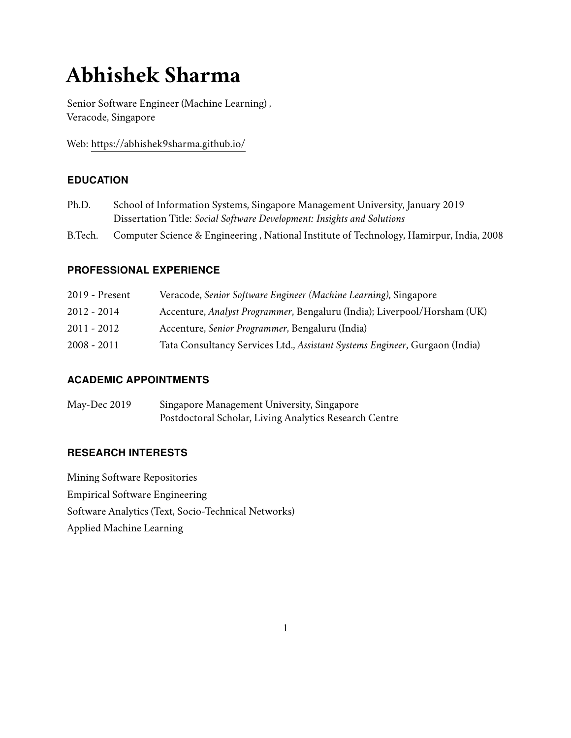# **Abhishek Sharma**

Senior Software Engineer (Machine Learning) , Veracode, Singapore

Web: https://abhishek9sharma.github.io/

# **EDUCATION**

- Ph.D. School of Information Systems, Singapore Management University, January 2019 Dissertation Title: *Social Software Development: Insights and Solutions*
- B.Tech. Computer Science & Engineering , National Institute of Technology, Hamirpur, India, 2008

# **PROFESSIONAL EXPERIENCE**

| 2019 - Present | Veracode, Senior Software Engineer (Machine Learning), Singapore            |
|----------------|-----------------------------------------------------------------------------|
| $2012 - 2014$  | Accenture, Analyst Programmer, Bengaluru (India); Liverpool/Horsham (UK)    |
| $2011 - 2012$  | Accenture, Senior Programmer, Bengaluru (India)                             |
| 2008 - 2011    | Tata Consultancy Services Ltd., Assistant Systems Engineer, Gurgaon (India) |

# **ACADEMIC APPOINTMENTS**

May-Dec 2019 Singapore Management University, Singapore Postdoctoral Scholar, Living Analytics Research Centre

# **RESEARCH INTERESTS**

Mining Software Repositories Empirical Software Engineering Software Analytics (Text, Socio-Technical Networks) Applied Machine Learning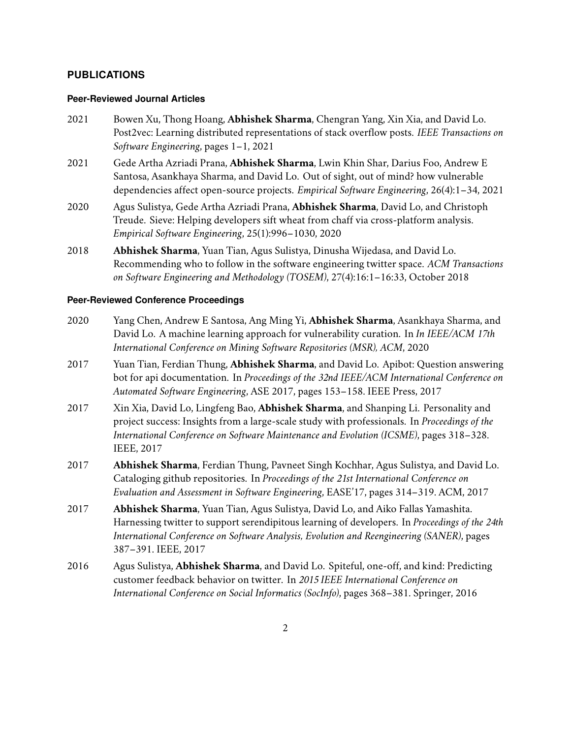#### **PUBLICATIONS**

#### **Peer-Reviewed Journal Articles**

- 2021 Bowen Xu, Thong Hoang, **Abhishek Sharma**, Chengran Yang, Xin Xia, and David Lo. Post2vec: Learning distributed representations of stack overflow posts. *IEEE Transactions on Software Engineering*, pages 1–1, 2021
- 2021 Gede Artha Azriadi Prana, **Abhishek Sharma**, Lwin Khin Shar, Darius Foo, Andrew E Santosa, Asankhaya Sharma, and David Lo. Out of sight, out of mind? how vulnerable dependencies affect open-source projects. *Empirical Software Engineering*, 26(4):1–34, 2021
- 2020 Agus Sulistya, Gede Artha Azriadi Prana, **Abhishek Sharma**, David Lo, and Christoph Treude. Sieve: Helping developers sift wheat from chaff via cross-platform analysis. *Empirical Software Engineering*, 25(1):996–1030, 2020
- 2018 **Abhishek Sharma**, Yuan Tian, Agus Sulistya, Dinusha Wijedasa, and David Lo. Recommending who to follow in the software engineering twitter space. *ACM Transactions on Software Engineering and Methodology (TOSEM)*, 27(4):16:1–16:33, October 2018

#### **Peer-Reviewed Conference Proceedings**

- 2020 Yang Chen, Andrew E Santosa, Ang Ming Yi, **Abhishek Sharma**, Asankhaya Sharma, and David Lo. A machine learning approach for vulnerability curation. In *In IEEE/ACM 17th International Conference on Mining Software Repositories (MSR), ACM*, 2020
- 2017 Yuan Tian, Ferdian Thung, **Abhishek Sharma**, and David Lo. Apibot: Question answering bot for api documentation. In *Proceedings of the 32nd IEEE/ACM International Conference on Automated Software Engineering*, ASE 2017, pages 153–158. IEEE Press, 2017
- 2017 Xin Xia, David Lo, Lingfeng Bao, **Abhishek Sharma**, and Shanping Li. Personality and project success: Insights from a large-scale study with professionals. In *Proceedings of the International Conference on Software Maintenance and Evolution (ICSME)*, pages 318–328. IEEE, 2017
- 2017 **Abhishek Sharma**, Ferdian Thung, Pavneet Singh Kochhar, Agus Sulistya, and David Lo. Cataloging github repositories. In *Proceedings of the 21st International Conference on Evaluation and Assessment in Software Engineering*, EASE'17, pages 314–319. ACM, 2017
- 2017 **Abhishek Sharma**, Yuan Tian, Agus Sulistya, David Lo, and Aiko Fallas Yamashita. Harnessing twitter to support serendipitous learning of developers. In *Proceedings of the 24th International Conference on Software Analysis, Evolution and Reengineering (SANER)*, pages 387–391. IEEE, 2017
- 2016 Agus Sulistya, **Abhishek Sharma**, and David Lo. Spiteful, one-off, and kind: Predicting customer feedback behavior on twitter. In *2015 IEEE International Conference on International Conference on Social Informatics (SocInfo)*, pages 368–381. Springer, 2016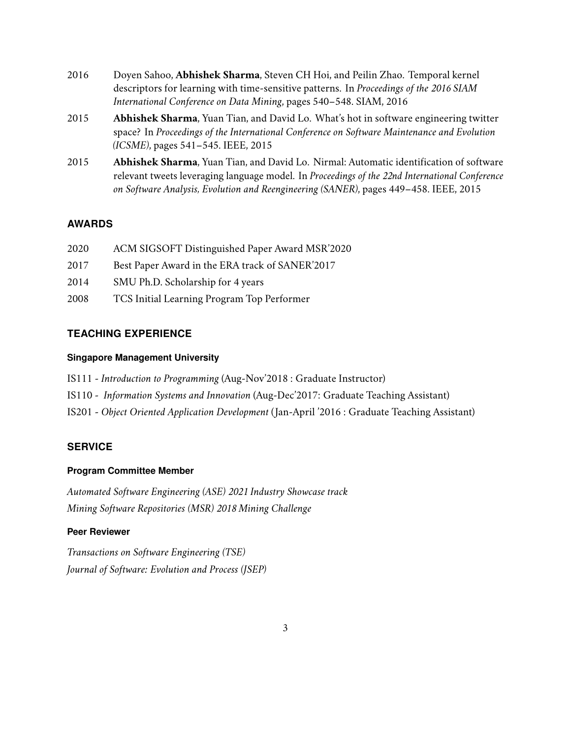- 2016 Doyen Sahoo, **Abhishek Sharma**, Steven CH Hoi, and Peilin Zhao. Temporal kernel descriptors for learning with time-sensitive patterns. In *Proceedings of the 2016 SIAM International Conference on Data Mining*, pages 540–548. SIAM, 2016
- 2015 **Abhishek Sharma**, Yuan Tian, and David Lo. What's hot in software engineering twitter space? In *Proceedings of the International Conference on Software Maintenance and Evolution (ICSME)*, pages 541–545. IEEE, 2015
- 2015 **Abhishek Sharma**, Yuan Tian, and David Lo. Nirmal: Automatic identification of software relevant tweets leveraging language model. In *Proceedings of the 22nd International Conference on Software Analysis, Evolution and Reengineering (SANER)*, pages 449–458. IEEE, 2015

## **AWARDS**

- 2020 ACM SIGSOFT Distinguished Paper Award MSR'2020
- 2017 Best Paper Award in the ERA track of SANER'2017
- 2014 SMU Ph.D. Scholarship for 4 years
- 2008 TCS Initial Learning Program Top Performer

# **TEACHING EXPERIENCE**

#### **Singapore Management University**

- IS111 *Introduction to Programming* (Aug-Nov'2018 : Graduate Instructor)
- IS110 *Information Systems and Innovation* (Aug-Dec'2017: Graduate Teaching Assistant)
- IS201 *Object Oriented Application Development* ( Jan-April '2016 : Graduate Teaching Assistant)

## **SERVICE**

## **Program Committee Member**

*Automated Software Engineering (ASE) 2021 Industry Showcase track Mining Software Repositories (MSR) 2018 Mining Challenge*

#### **Peer Reviewer**

*Transactions on Software Engineering (TSE) Journal of Software: Evolution and Process (JSEP)*